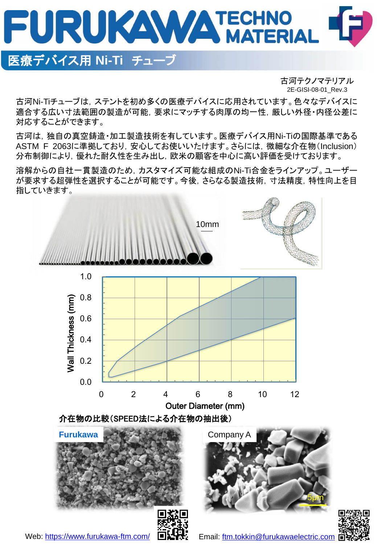

# 医療デバイス用 **Ni-Ti** チューブ

古河テクノマテリアル 2E-GISI-08-01\_Rev.3

古河Ni-Tiチューブは,ステントを初め多くの医療デバイスに応用されています。色々なデバイスに 適合する広い寸法範囲の製造が可能,要求にマッチする肉厚の均一性,厳しい外径・内径公差に 対応することができます。

古河は,独自の真空鋳造・加工製造技術を有しています。医療デバイス用Ni-Tiの国際基準である ASTM F 2063に準拠しており,安心してお使いいたけます。さらには,微細な介在物(Inclusion) 分布制御により,優れた耐久性を生み出し,欧米の顧客を中心に高い評価を受けております。

溶解からの自社一貫製造のため,カスタマイズ可能な組成のNi-Ti合金をラインアップ。ユーザー が要求する超弾性を選択することが可能です。今後,さらなる製造技術,寸法精度,特性向上を目 指していきます。





5μm